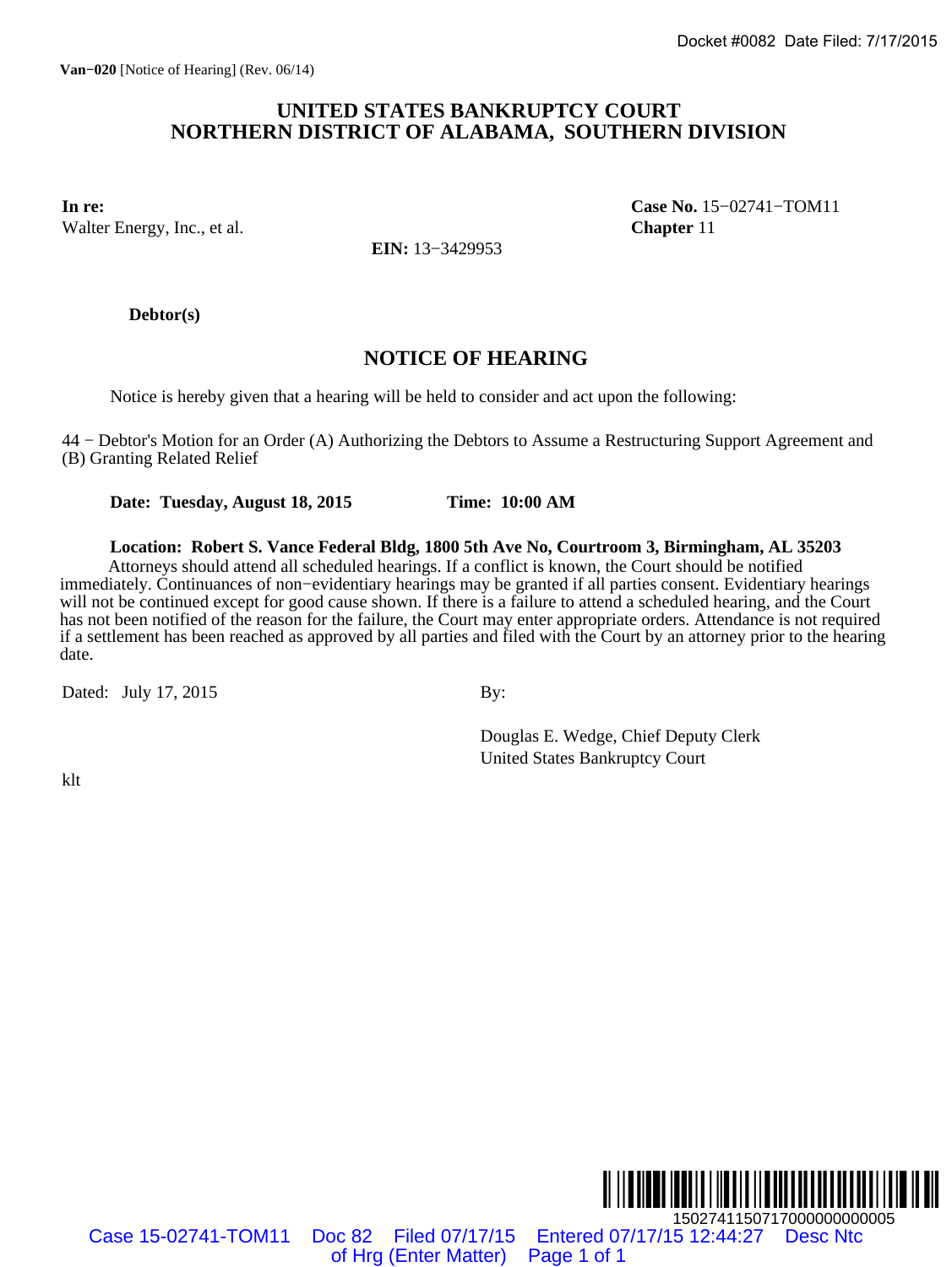### **UNITED STATES BANKRUPTCY COURT NORTHERN DISTRICT OF ALABAMA, SOUTHERN DIVISION**

Walter Energy, Inc., et al. **Chapter** 11

**In re: Case No.** 15−02741−TOM11

**EIN:** 13−3429953

**Debtor(s)**

## **NOTICE OF HEARING**

Notice is hereby given that a hearing will be held to consider and act upon the following:

44 − Debtor's Motion for an Order (A) Authorizing the Debtors to Assume a Restructuring Support Agreement and (B) Granting Related Relief

**Date: Tuesday, August 18, 2015 Time: 10:00 AM**

**Location: Robert S. Vance Federal Bldg, 1800 5th Ave No, Courtroom 3, Birmingham, AL 35203** Attorneys should attend all scheduled hearings. If a conflict is known, the Court should be notified immediately. Continuances of non−evidentiary hearings may be granted if all parties consent. Evidentiary hearings will not be continued except for good cause shown. If there is a failure to attend a scheduled hearing, and the Court has not been notified of the reason for the failure, the Court may enter appropriate orders. Attendance is not required if a settlement has been reached as approved by all parties and filed with the Court by an attorney prior to the hearing date. Docket #0082 Date Filed: 7/17/2015<br>
FIRECT OF ALABAMA, SOUTHERN DIVISION<br>
Case No. 15-02741-TOM11<br>
EIN: 13-3429953<br>
NOTICE OF HEARING<br>
corring will be held to consider and act upon the following:<br>
Authorizing the Debtors

Dated: July 17, 2015 By:

Douglas E. Wedge, Chief Deputy Clerk United States Bankruptcy Court

klt



Case 15-02741-TOM11 Doc 82 Filed 07/17/15 Entered 07/17/15 12:44:27 Desc Ntc